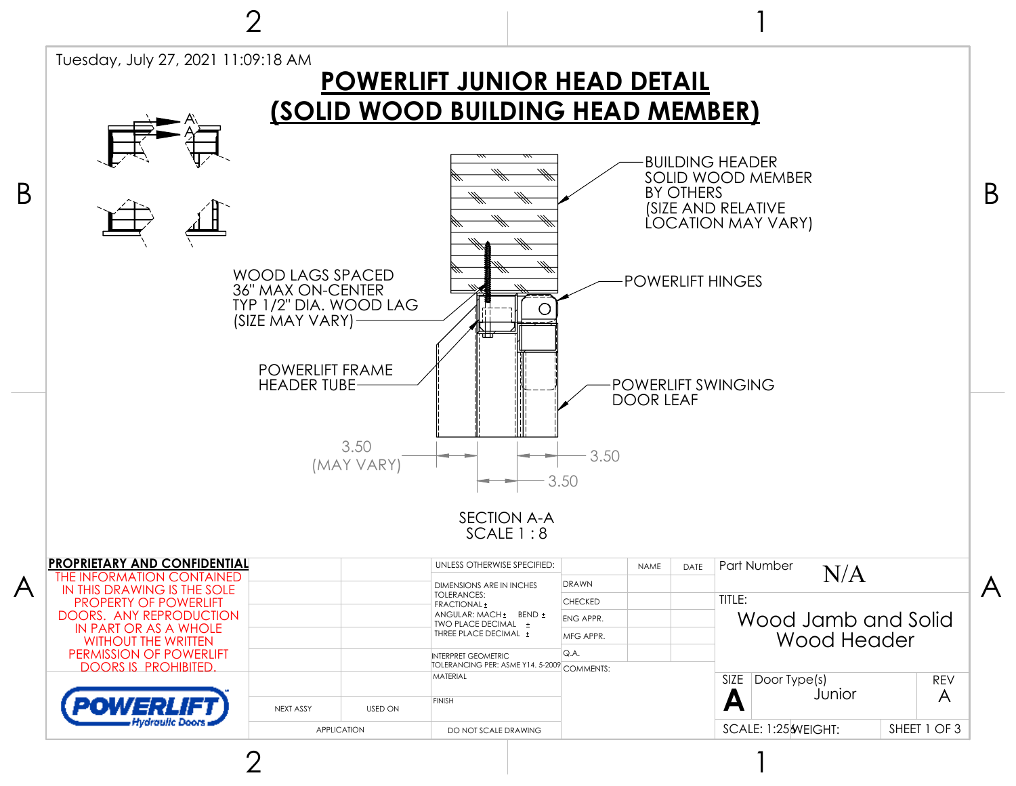

2

2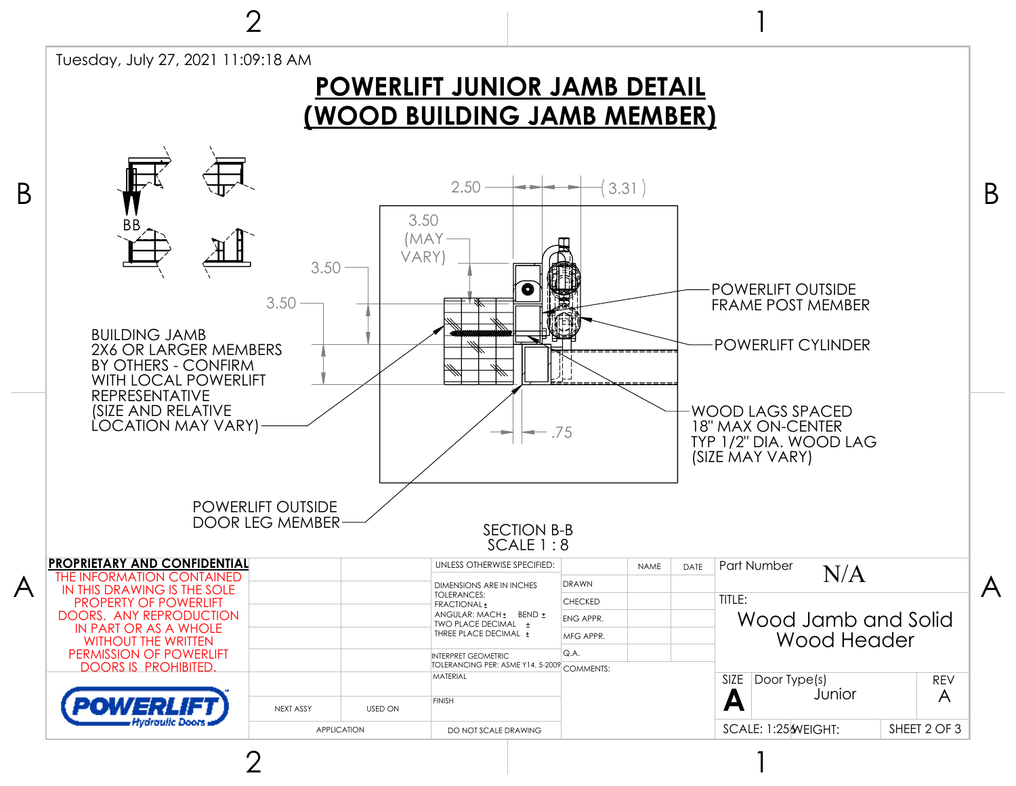